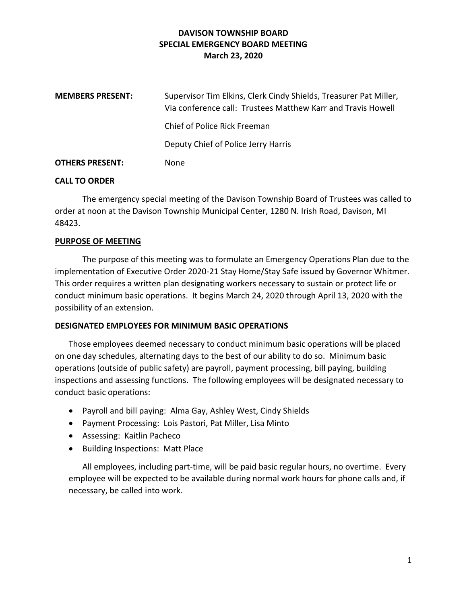## **DAVISON TOWNSHIP BOARD SPECIAL EMERGENCY BOARD MEETING March 23, 2020**

| <b>MEMBERS PRESENT:</b> | Supervisor Tim Elkins, Clerk Cindy Shields, Treasurer Pat Miller,<br>Via conference call: Trustees Matthew Karr and Travis Howell |
|-------------------------|-----------------------------------------------------------------------------------------------------------------------------------|
|                         | Chief of Police Rick Freeman                                                                                                      |
|                         | Deputy Chief of Police Jerry Harris                                                                                               |
| <b>OTHERS PRESENT:</b>  | None                                                                                                                              |

### **CALL TO ORDER**

The emergency special meeting of the Davison Township Board of Trustees was called to order at noon at the Davison Township Municipal Center, 1280 N. Irish Road, Davison, MI 48423.

### **PURPOSE OF MEETING**

The purpose of this meeting was to formulate an Emergency Operations Plan due to the implementation of Executive Order 2020-21 Stay Home/Stay Safe issued by Governor Whitmer. This order requires a written plan designating workers necessary to sustain or protect life or conduct minimum basic operations. It begins March 24, 2020 through April 13, 2020 with the possibility of an extension.

#### **DESIGNATED EMPLOYEES FOR MINIMUM BASIC OPERATIONS**

Those employees deemed necessary to conduct minimum basic operations will be placed on one day schedules, alternating days to the best of our ability to do so. Minimum basic operations (outside of public safety) are payroll, payment processing, bill paying, building inspections and assessing functions. The following employees will be designated necessary to conduct basic operations:

- Payroll and bill paying: Alma Gay, Ashley West, Cindy Shields
- Payment Processing: Lois Pastori, Pat Miller, Lisa Minto
- Assessing: Kaitlin Pacheco
- Building Inspections: Matt Place

All employees, including part-time, will be paid basic regular hours, no overtime. Every employee will be expected to be available during normal work hours for phone calls and, if necessary, be called into work.